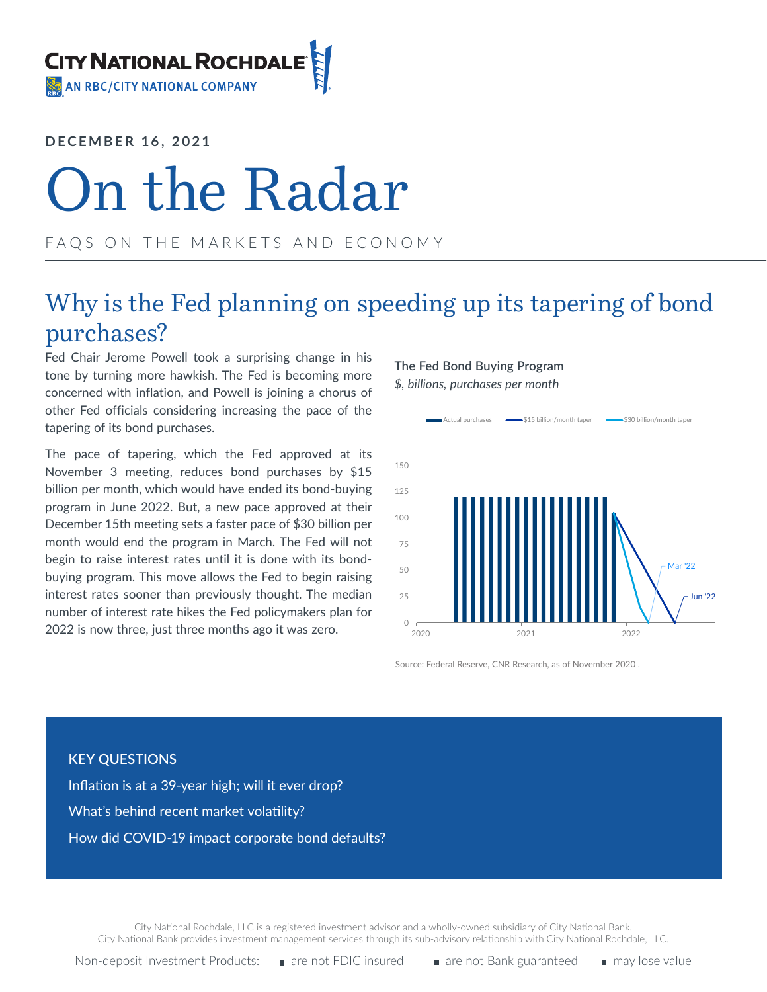

**DECEMBER 16, 2021**

# On the Radar

## FAQS ON THE MARKETS AND ECONOMY

## Why is the Fed planning on speeding up its tapering of bond purchases?

Fed Chair Jerome Powell took a surprising change in his tone by turning more hawkish. The Fed is becoming more concerned with inflation, and Powell is joining a chorus of other Fed officials considering increasing the pace of the tapering of its bond purchases.

The pace of tapering, which the Fed approved at its November 3 meeting, reduces bond purchases by \$15 billion per month, which would have ended its bond-buying program in June 2022. But, a new pace approved at their December 15th meeting sets a faster pace of \$30 billion per month would end the program in March. The Fed will not begin to raise interest rates until it is done with its bondbuying program. This move allows the Fed to begin raising interest rates sooner than previously thought. The median number of interest rate hikes the Fed policymakers plan for 2022 is now three, just three months ago it was zero.

## **The Fed Bond Buying Program**

*\$, billions, purchases per month*



Source: Federal Reserve, CNR Research, as of November 2020 .

### **KEY QUESTIONS**

Inflation is at a 39-year high; will it ever drop? What's behind recent market volatility? How did COVID-19 impact corporate bond defaults?

City National Rochdale, LLC is a registered investment advisor and a wholly-owned subsidiary of City National Bank. City National Bank provides investment management services through its sub-advisory relationship with City National Rochdale, LLC.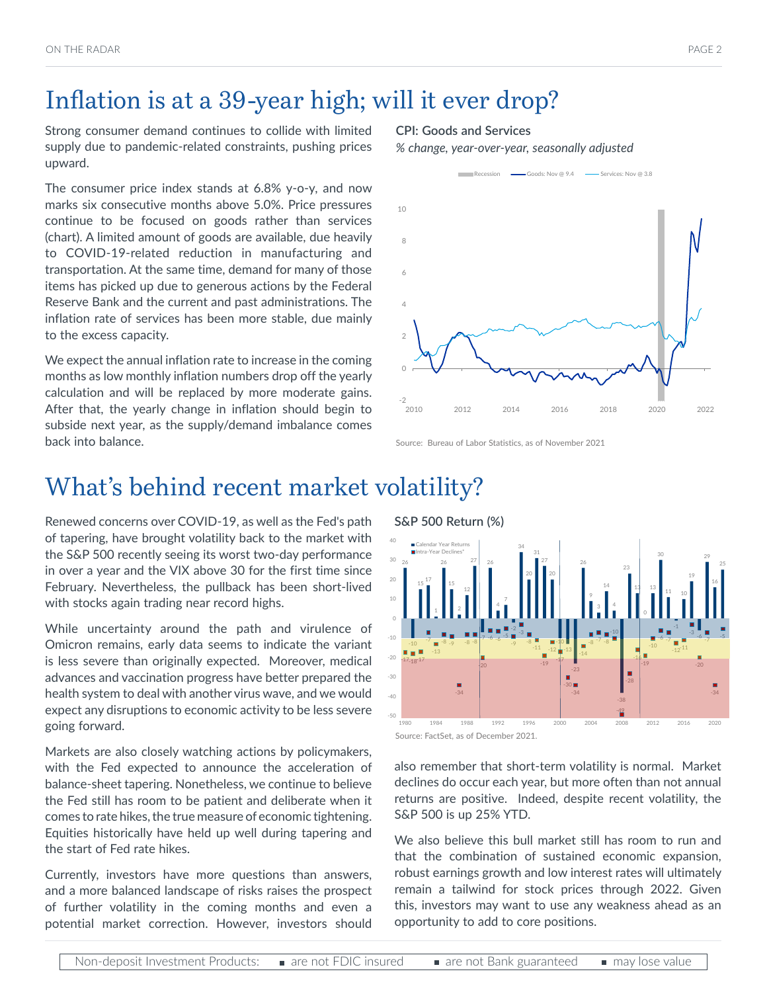## Inflation is at a 39-year high; will it ever drop?

Strong consumer demand continues to collide with limited supply due to pandemic-related constraints, pushing prices upward.

The consumer price index stands at 6.8% y-o-y, and now marks six consecutive months above 5.0%. Price pressures continue to be focused on goods rather than services (chart). A limited amount of goods are available, due heavily to COVID-19-related reduction in manufacturing and transportation. At the same time, demand for many of those items has picked up due to generous actions by the Federal Reserve Bank and the current and past administrations. The inflation rate of services has been more stable, due mainly to the excess capacity.

We expect the annual inflation rate to increase in the coming months as low monthly inflation numbers drop off the yearly calculation and will be replaced by more moderate gains. After that, the yearly change in inflation should begin to subside next year, as the supply/demand imbalance comes back into balance.

#### **CPI: Goods and Services**

*% change, year-over-year, seasonally adjusted*



Source: Bureau of Labor Statistics, as of November 2021

## What's behind recent market volatility?

Renewed concerns over COVID-19, as well as the Fed's path of tapering, have brought volatility back to the market with the S&P 500 recently seeing its worst two-day performance in over a year and the VIX above 30 for the first time since February. Nevertheless, the pullback has been short-lived with stocks again trading near record highs.

While uncertainty around the path and virulence of Omicron remains, early data seems to indicate the variant is less severe than originally expected. Moreover, medical advances and vaccination progress have better prepared the health system to deal with another virus wave, and we would expect any disruptions to economic activity to be less severe going forward.

Markets are also closely watching actions by policymakers, with the Fed expected to announce the acceleration of balance-sheet tapering. Nonetheless, we continue to believe the Fed still has room to be patient and deliberate when it comes to rate hikes, the true measure of economic tightening. Equities historically have held up well during tapering and the start of Fed rate hikes.

Currently, investors have more questions than answers, and a more balanced landscape of risks raises the prospect of further volatility in the coming months and even a potential market correction. However, investors should

**S&P 500 Return (%)** 26 -10  $15 \frac{17}{9}$ 1 26 15 2 12 27 -7 26 4 -2 34 20 31 27 -10 -13 -23 26 9 14 4 -38 13 30 -1 19 -6 16 25  $-17.18-17$ -7 -13 -8 -9 -34 -8 -8 -20  $-6 -6$   $-5$ -9 -3 -8 -11 -19 -17 -30 -34 -14  $-8 - 7 - 8$ -10 -49 -28 -16 -19 -10 -6 -7  $-12^{-11}$ -3 -20 -7 -34 -5 -50 -40 -30 -20 -10 0 20 30 40 1980 1984 1988 1992 1996 2000 2004 2008 2012 2016 2020 Calendar Year Returns Intra-Year Declines\*

also remember that short-term volatility is normal. Market declines do occur each year, but more often than not annual returns are positive. Indeed, despite recent volatility, the S&P 500 is up 25% YTD.

We also believe this bull market still has room to run and that the combination of sustained economic expansion, robust earnings growth and low interest rates will ultimately remain a tailwind for stock prices through 2022. Given this, investors may want to use any weakness ahead as an opportunity to add to core positions.

Source: FactSet, as of December 2021.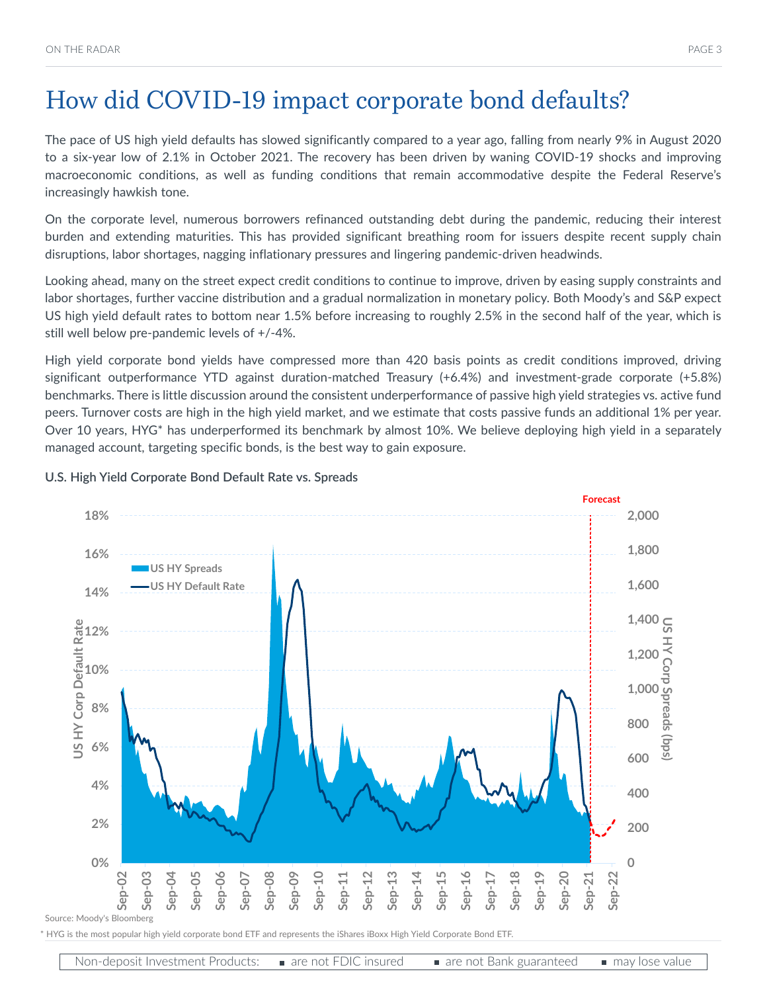The pace of US high yield defaults has slowed significantly compared to a year ago, falling from nearly 9% in August 2020 to a six-year low of 2.1% in October 2021. The recovery has been driven by waning COVID-19 shocks and improving macroeconomic conditions, as well as funding conditions that remain accommodative despite the Federal Reserve's increasingly hawkish tone.

On the corporate level, numerous borrowers refinanced outstanding debt during the pandemic, reducing their interest burden and extending maturities. This has provided significant breathing room for issuers despite recent supply chain disruptions, labor shortages, nagging inflationary pressures and lingering pandemic-driven headwinds.

Looking ahead, many on the street expect credit conditions to continue to improve, driven by easing supply constraints and labor shortages, further vaccine distribution and a gradual normalization in monetary policy. Both Moody's and S&P expect US high yield default rates to bottom near 1.5% before increasing to roughly 2.5% in the second half of the year, which is still well below pre-pandemic levels of +/-4%.

High yield corporate bond yields have compressed more than 420 basis points as credit conditions improved, driving significant outperformance YTD against duration-matched Treasury (+6.4%) and investment-grade corporate (+5.8%) benchmarks. There is little discussion around the consistent underperformance of passive high yield strategies vs. active fund peers. Turnover costs are high in the high yield market, and we estimate that costs passive funds an additional 1% per year. Over 10 years, HYG\* has underperformed its benchmark by almost 10%. We believe deploying high yield in a separately managed account, targeting specific bonds, is the best way to gain exposure.



#### **U.S. High Yield Corporate Bond Default Rate vs. Spreads**

\* HYG is the most popular high yield corporate bond ETF and represents the iShares iBoxx High Yield Corporate Bond ETF.